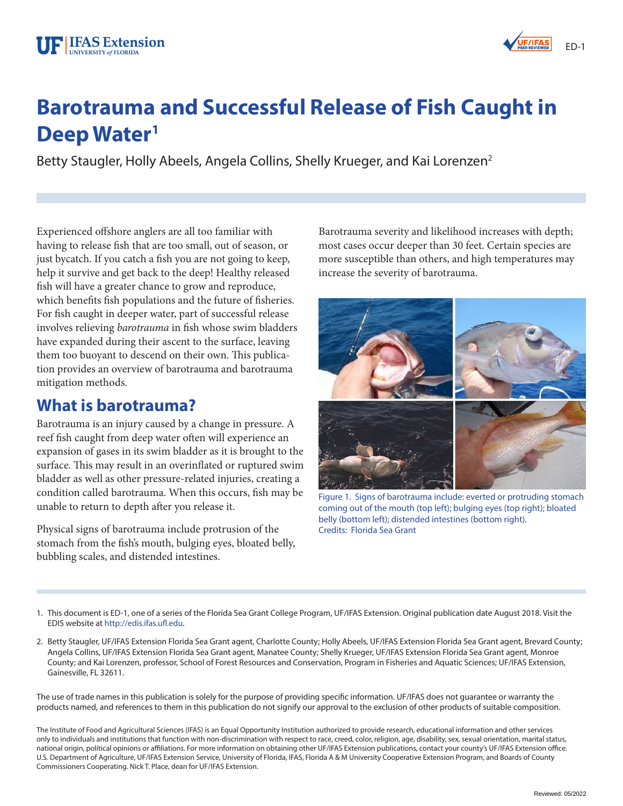# UF I **IFAS Extension** UNIVERSITY *of* FLORIDA

# **Barotrauma and Successful Release of Fish Caught in Deep Water<sup>1</sup>**

Betty Staugler, Holly Abeels, Angela Collins, Shelly Krueger, and Kai Lorenzen<sup>2</sup>

Experienced ofshore anglers are all too familiar with having to release fsh that are too small, out of season, or just bycatch. If you catch a fish you are not going to keep, help it survive and get back to the deep! Healthy released fish will have a greater chance to grow and reproduce, which benefits fish populations and the future of fisheries. For fish caught in deeper water, part of successful release involves relieving *barotrauma* in fsh whose swim bladders have expanded during their ascent to the surface, leaving them too buoyant to descend on their own. This publication provides an overview of barotrauma and barotrauma mitigation methods.

## **What is barotrauma?**

Barotrauma is an injury caused by a change in pressure. A reef fish caught from deep water often will experience an expansion of gases in its swim bladder as it is brought to the surface. This may result in an overinflated or ruptured swim bladder as well as other pressure-related injuries, creating a condition called barotrauma. When this occurs, fsh may be unable to return to depth after you release it.

Physical signs of barotrauma include protrusion of the stomach from the fsh's mouth, bulging eyes, bloated belly, bubbling scales, and distended intestines.

Barotrauma severity and likelihood increases with depth; most cases occur deeper than 30 feet. Certain species are more susceptible than others, and high temperatures may increase the severity of barotrauma.



coming out of the mouth (top left); bulging eyes (top right); bloated belly (bottom left); distended intestines (bottom right). Credits: Florida Sea Grant

- 1. This document is ED-1, one of a series of the Florida Sea Grant College Program, UF/IFAS Extension. Original publication date August 2018. Visit the EDIS website at [http://edis.ifas.uf.edu.](http://edis.ifas.ufl.edu)
- 2. Betty Staugler, UF/IFAS Extension Florida Sea Grant agent, Charlotte County; Holly Abeels, UF/IFAS Extension Florida Sea Grant agent, Brevard County; Angela Collins, UF/IFAS Extension Florida Sea Grant agent, Manatee County; Shelly Krueger, UF/IFAS Extension Florida Sea Grant agent, Monroe County; and Kai Lorenzen, professor, School of Forest Resources and Conservation, Program in Fisheries and Aquatic Sciences; UF/IFAS Extension, Gainesville, FL 32611.

The use of trade names in this publication is solely for the purpose of providing specifc information. UF/IFAS does not guarantee or warranty the products named, and references to them in this publication do not signify our approval to the exclusion of other products of suitable composition.

The Institute of Food and Agricultural Sciences (IFAS) is an Equal Opportunity Institution authorized to provide research, educational information and other services only to individuals and institutions that function with non-discrimination with respect to race, creed, color, religion, age, disability, sex, sexual orientation, marital status, national origin, political opinions or affiliations. For more information on obtaining other UF/IFAS Extension publications, contact your county's UF/IFAS Extension office. U.S. Department of Agriculture, UF/IFAS Extension Service, University of Florida, IFAS, Florida A & M University Cooperative Extension Program, and Boards of County Commissioners Cooperating. Nick T. Place, dean for UF/IFAS Extension.

**UF/IFAS**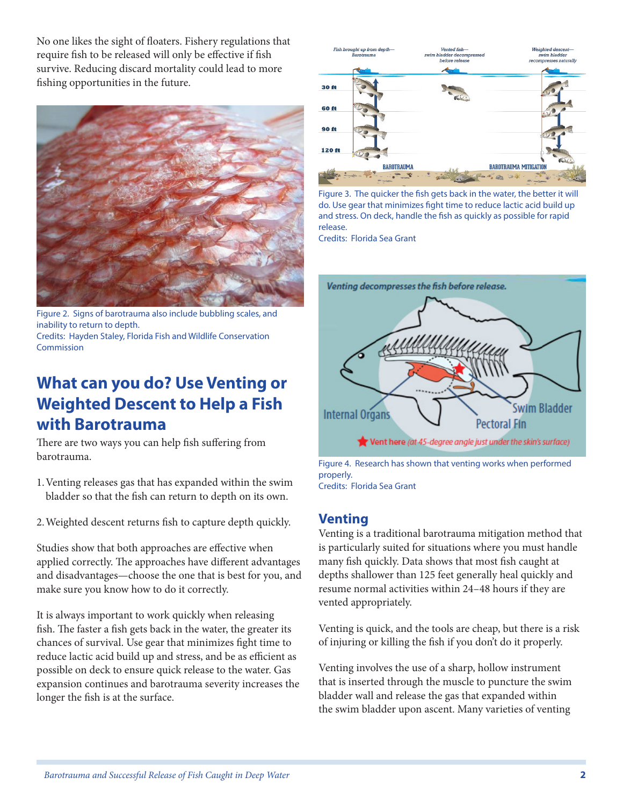No one likes the sight of foaters. Fishery regulations that require fsh to be released will only be efective if fsh survive. Reducing discard mortality could lead to more fshing opportunities in the future.



Figure 2. Signs of barotrauma also include bubbling scales, and inability to return to depth. Credits: Hayden Staley, Florida Fish and Wildlife Conservation Commission

# **What can you do? Use Venting or Weighted Descent to Help a Fish with Barotrauma**

There are two ways you can help fish suffering from barotrauma.

- 1.Venting releases gas that has expanded within the swim bladder so that the fsh can return to depth on its own.
- 2.Weighted descent returns fsh to capture depth quickly.

Studies show that both approaches are efective when applied correctly. The approaches have different advantages and disadvantages—choose the one that is best for you, and make sure you know how to do it correctly.

It is always important to work quickly when releasing fish. The faster a fish gets back in the water, the greater its chances of survival. Use gear that minimizes fght time to reduce lactic acid build up and stress, and be as efficient as possible on deck to ensure quick release to the water. Gas expansion continues and barotrauma severity increases the longer the fsh is at the surface.



Figure 3. The quicker the fsh gets back in the water, the better it will do. Use gear that minimizes fght time to reduce lactic acid build up and stress. On deck, handle the fsh as quickly as possible for rapid release.

Credits: Florida Sea Grant



Figure 4. Research has shown that venting works when performed properly.

Credits: Florida Sea Grant

## **Venting**

Venting is a traditional barotrauma mitigation method that is particularly suited for situations where you must handle many fsh quickly. Data shows that most fsh caught at depths shallower than 125 feet generally heal quickly and resume normal activities within 24–48 hours if they are vented appropriately.

Venting is quick, and the tools are cheap, but there is a risk of injuring or killing the fsh if you don't do it properly.

Venting involves the use of a sharp, hollow instrument that is inserted through the muscle to puncture the swim bladder wall and release the gas that expanded within the swim bladder upon ascent. Many varieties of venting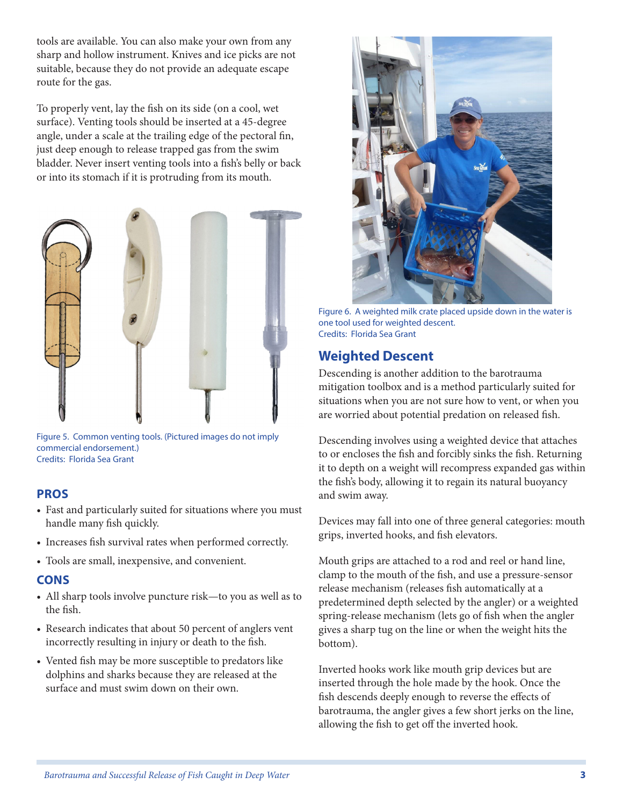tools are available. You can also make your own from any sharp and hollow instrument. Knives and ice picks are not suitable, because they do not provide an adequate escape route for the gas.

To properly vent, lay the fsh on its side (on a cool, wet surface). Venting tools should be inserted at a 45-degree angle, under a scale at the trailing edge of the pectoral fn, just deep enough to release trapped gas from the swim bladder. Never insert venting tools into a fsh's belly or back or into its stomach if it is protruding from its mouth.



Figure 5. Common venting tools. (Pictured images do not imply commercial endorsement.) Credits: Florida Sea Grant

#### **PROS**

- Fast and particularly suited for situations where you must handle many fsh quickly.
- Increases fsh survival rates when performed correctly.
- Tools are small, inexpensive, and convenient.

#### **CONS**

- All sharp tools involve puncture risk—to you as well as to the fsh.
- Research indicates that about 50 percent of anglers vent incorrectly resulting in injury or death to the fsh.
- Vented fsh may be more susceptible to predators like dolphins and sharks because they are released at the surface and must swim down on their own.



Figure 6. A weighted milk crate placed upside down in the water is one tool used for weighted descent. Credits: Florida Sea Grant

### **Weighted Descent**

Descending is another addition to the barotrauma mitigation toolbox and is a method particularly suited for situations when you are not sure how to vent, or when you are worried about potential predation on released fsh.

Descending involves using a weighted device that attaches to or encloses the fsh and forcibly sinks the fsh. Returning it to depth on a weight will recompress expanded gas within the fsh's body, allowing it to regain its natural buoyancy and swim away.

Devices may fall into one of three general categories: mouth grips, inverted hooks, and fsh elevators.

Mouth grips are attached to a rod and reel or hand line, clamp to the mouth of the fsh, and use a pressure-sensor release mechanism (releases fsh automatically at a predetermined depth selected by the angler) or a weighted spring-release mechanism (lets go of fsh when the angler gives a sharp tug on the line or when the weight hits the bottom).

Inverted hooks work like mouth grip devices but are inserted through the hole made by the hook. Once the fish descends deeply enough to reverse the effects of barotrauma, the angler gives a few short jerks on the line, allowing the fish to get off the inverted hook.